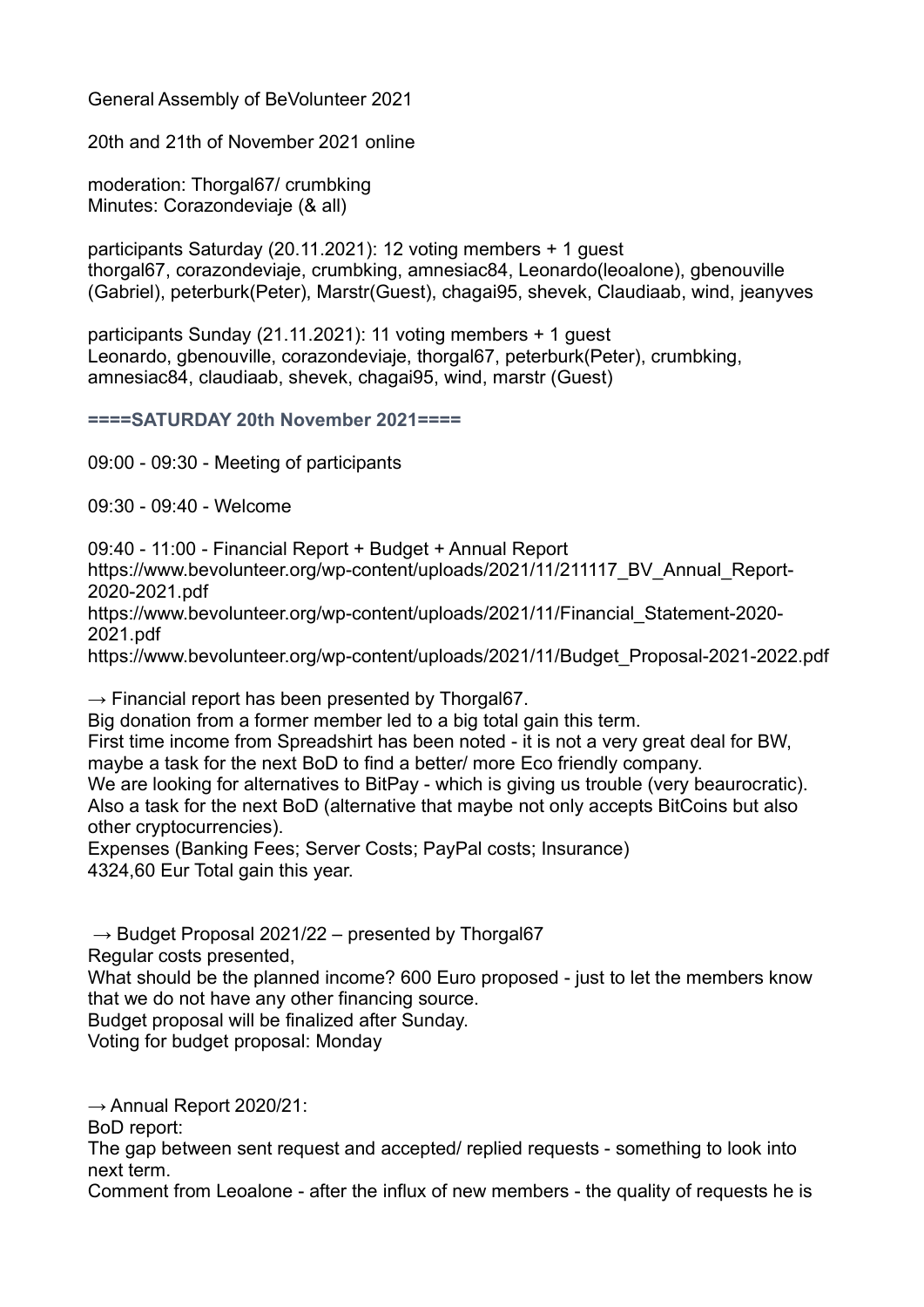General Assembly of BeVolunteer 2021

20th and 21th of November 2021 online

moderation: Thorgal67/ crumbking Minutes: Corazondeviaje (& all)

participants Saturday (20.11.2021): 12 voting members + 1 guest thorgal67, corazondeviaje, crumbking, amnesiac84, Leonardo(leoalone), gbenouville (Gabriel), peterburk(Peter), Marstr(Guest), chagai95, shevek, Claudiaab, wind, jeanyves

participants Sunday (21.11.2021): 11 voting members + 1 guest Leonardo, gbenouville, corazondeviaje, thorgal67, peterburk(Peter), crumbking, amnesiac84, claudiaab, shevek, chagai95, wind, marstr (Guest)

====SATURDAY 20th November 2021====

09:00 - 09:30 - Meeting of participants

09:30 - 09:40 - Welcome

09:40 - 11:00 - Financial Report + Budget + Annual Report

https://www.bevolunteer.org/wp-content/uploads/2021/11/211117\_BV\_Annual\_Report-2020-2021.pdf

https://www.bevolunteer.org/wp-content/uploads/2021/11/Financial Statement-2020-2021.pdf

https://www.bevolunteer.org/wp-content/uploads/2021/11/Budget\_Proposal-2021-2022.pdf

 $\rightarrow$  Financial report has been presented by Thorgal67.

Big donation from a former member led to a big total gain this term.

First time income from Spreadshirt has been noted - it is not a very great deal for BW, maybe a task for the next BoD to find a better/ more Eco friendly company.

We are looking for alternatives to BitPay - which is giving us trouble (very beaurocratic). Also a task for the next BoD (alternative that maybe not only accepts BitCoins but also other cryptocurrencies).

Expenses (Banking Fees; Server Costs; PayPal costs; Insurance) 4324,60 Eur Total gain this year.

 $\rightarrow$  Budget Proposal 2021/22 – presented by Thorgal67

Regular costs presented,

What should be the planned income? 600 Euro proposed - just to let the members know that we do not have any other financing source.

Budget proposal will be finalized after Sunday.

Voting for budget proposal: Monday

 $\rightarrow$  Annual Report 2020/21:

BoD report:

The gap between sent request and accepted/ replied requests - something to look into next term.

Comment from Leoalone - after the influx of new members - the quality of requests he is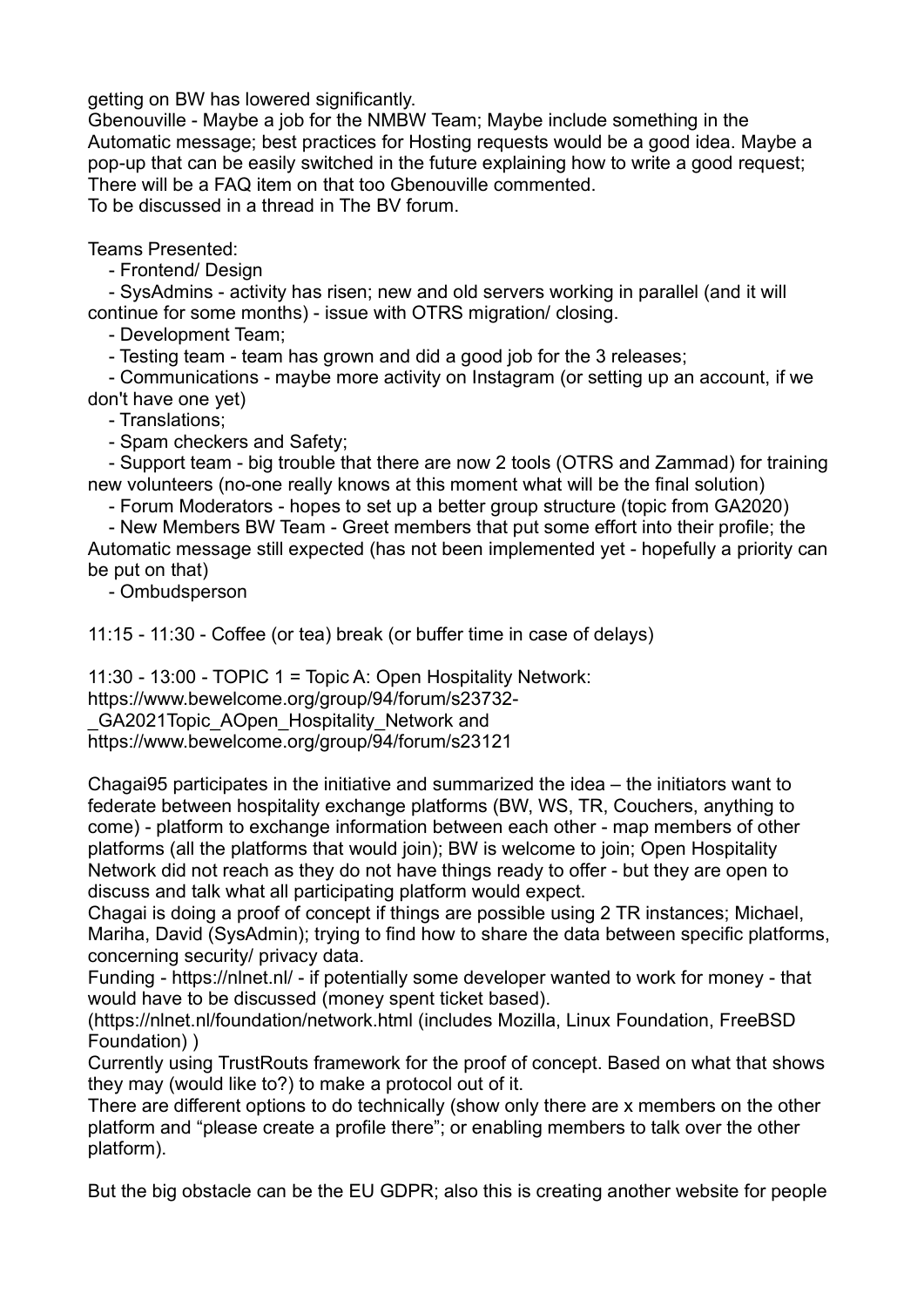getting on BW has lowered significantly.

Gbenouville - Maybe a job for the NMBW Team; Maybe include something in the Automatic message; best practices for Hosting requests would be a good idea. Maybe a pop-up that can be easily switched in the future explaining how to write a good request; There will be a FAQ item on that too Gbenouville commented. To be discussed in a thread in The BV forum.

Teams Presented:

- Frontend/ Design

 - SysAdmins - activity has risen; new and old servers working in parallel (and it will continue for some months) - issue with OTRS migration/ closing.

- Development Team;

- Testing team - team has grown and did a good job for the 3 releases;

 - Communications - maybe more activity on Instagram (or setting up an account, if we don't have one yet)

- Translations;

- Spam checkers and Safety;

 - Support team - big trouble that there are now 2 tools (OTRS and Zammad) for training new volunteers (no-one really knows at this moment what will be the final solution)

- Forum Moderators - hopes to set up a better group structure (topic from GA2020)

 - New Members BW Team - Greet members that put some effort into their profile; the Automatic message still expected (has not been implemented yet - hopefully a priority can be put on that)

- Ombudsperson

11:15 - 11:30 - Coffee (or tea) break (or buffer time in case of delays)

11:30 - 13:00 - TOPIC 1 = Topic A: Open Hospitality Network:

https://www.bewelcome.org/group/94/forum/s23732-

GA2021Topic\_AOpen\_Hospitality\_Network and

https://www.bewelcome.org/group/94/forum/s23121

Chagai95 participates in the initiative and summarized the idea – the initiators want to federate between hospitality exchange platforms (BW, WS, TR, Couchers, anything to come) - platform to exchange information between each other - map members of other platforms (all the platforms that would join); BW is welcome to join; Open Hospitality Network did not reach as they do not have things ready to offer - but they are open to discuss and talk what all participating platform would expect.

Chagai is doing a proof of concept if things are possible using 2 TR instances; Michael, Mariha, David (SysAdmin); trying to find how to share the data between specific platforms, concerning security/ privacy data.

Funding - https://nlnet.nl/ - if potentially some developer wanted to work for money - that would have to be discussed (money spent ticket based).

(https://nlnet.nl/foundation/network.html (includes Mozilla, Linux Foundation, FreeBSD Foundation) )

Currently using TrustRouts framework for the proof of concept. Based on what that shows they may (would like to?) to make a protocol out of it.

There are different options to do technically (show only there are x members on the other platform and "please create a profile there"; or enabling members to talk over the other platform).

But the big obstacle can be the EU GDPR; also this is creating another website for people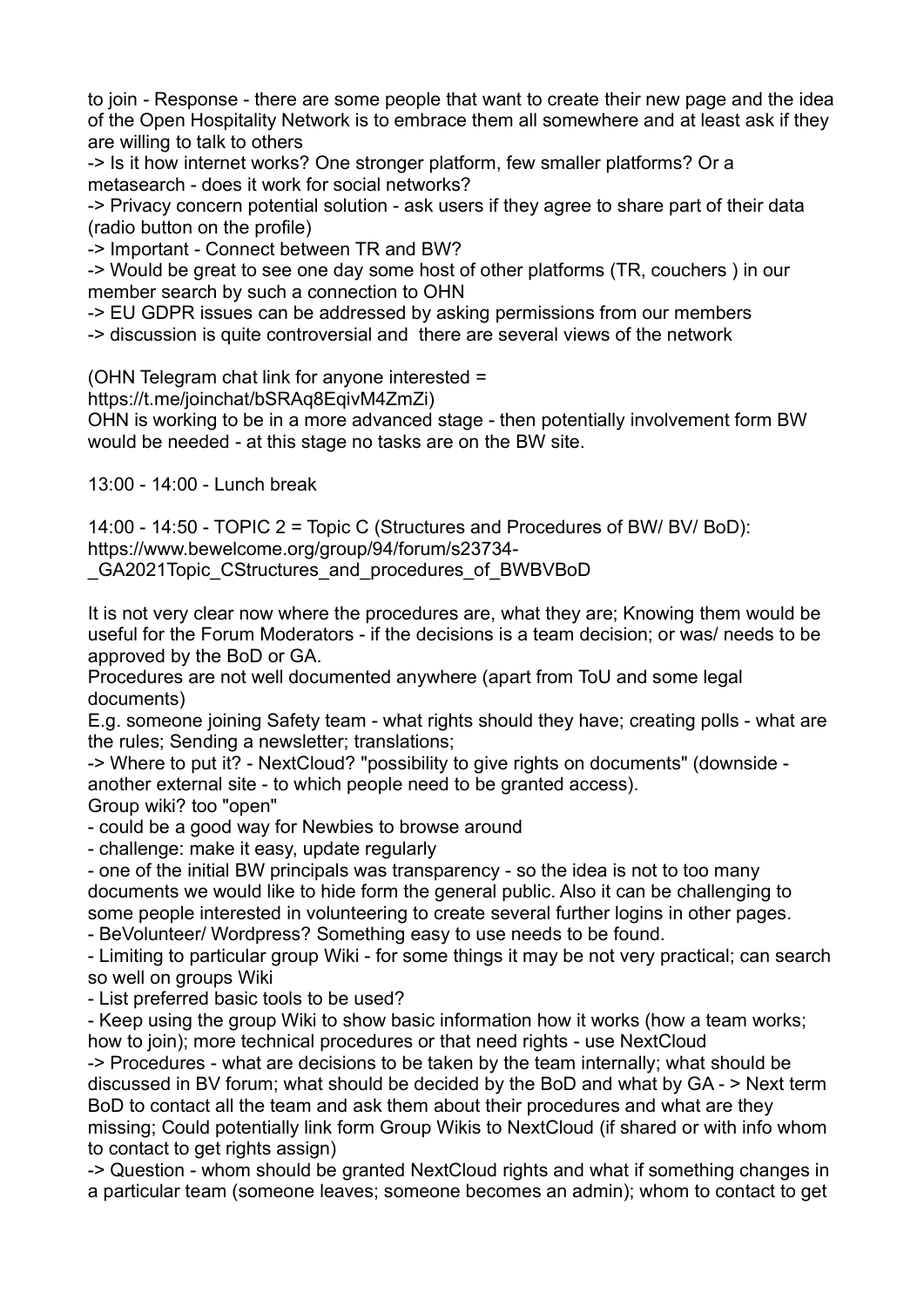to join - Response - there are some people that want to create their new page and the idea of the Open Hospitality Network is to embrace them all somewhere and at least ask if they are willing to talk to others

-> Is it how internet works? One stronger platform, few smaller platforms? Or a metasearch - does it work for social networks?

-> Privacy concern potential solution - ask users if they agree to share part of their data (radio button on the profile)

-> Important - Connect between TR and BW?

-> Would be great to see one day some host of other platforms (TR, couchers ) in our member search by such a connection to OHN

-> EU GDPR issues can be addressed by asking permissions from our members

-> discussion is quite controversial and there are several views of the network

(OHN Telegram chat link for anyone interested =

https://t.me/joinchat/bSRAq8EqivM4ZmZi)

OHN is working to be in a more advanced stage - then potentially involvement form BW would be needed - at this stage no tasks are on the BW site.

13:00 - 14:00 - Lunch break

14:00 - 14:50 - TOPIC 2 = Topic C (Structures and Procedures of BW/ BV/ BoD): https://www.bewelcome.org/group/94/forum/s23734-

GA2021Topic CStructures and procedures of BWBVBoD

It is not very clear now where the procedures are, what they are; Knowing them would be useful for the Forum Moderators - if the decisions is a team decision; or was/ needs to be approved by the BoD or GA.

Procedures are not well documented anywhere (apart from ToU and some legal documents)

E.g. someone joining Safety team - what rights should they have; creating polls - what are the rules; Sending a newsletter; translations;

-> Where to put it? - NextCloud? "possibility to give rights on documents" (downside another external site - to which people need to be granted access). Group wiki? too "open"

- could be a good way for Newbies to browse around

- challenge: make it easy, update regularly

- one of the initial BW principals was transparency - so the idea is not to too many documents we would like to hide form the general public. Also it can be challenging to some people interested in volunteering to create several further logins in other pages.

- BeVolunteer/ Wordpress? Something easy to use needs to be found.

- Limiting to particular group Wiki - for some things it may be not very practical; can search so well on groups Wiki

- List preferred basic tools to be used?

- Keep using the group Wiki to show basic information how it works (how a team works; how to join); more technical procedures or that need rights - use NextCloud

-> Procedures - what are decisions to be taken by the team internally; what should be discussed in BV forum; what should be decided by the BoD and what by GA - > Next term BoD to contact all the team and ask them about their procedures and what are they missing; Could potentially link form Group Wikis to NextCloud (if shared or with info whom to contact to get rights assign)

-> Question - whom should be granted NextCloud rights and what if something changes in a particular team (someone leaves; someone becomes an admin); whom to contact to get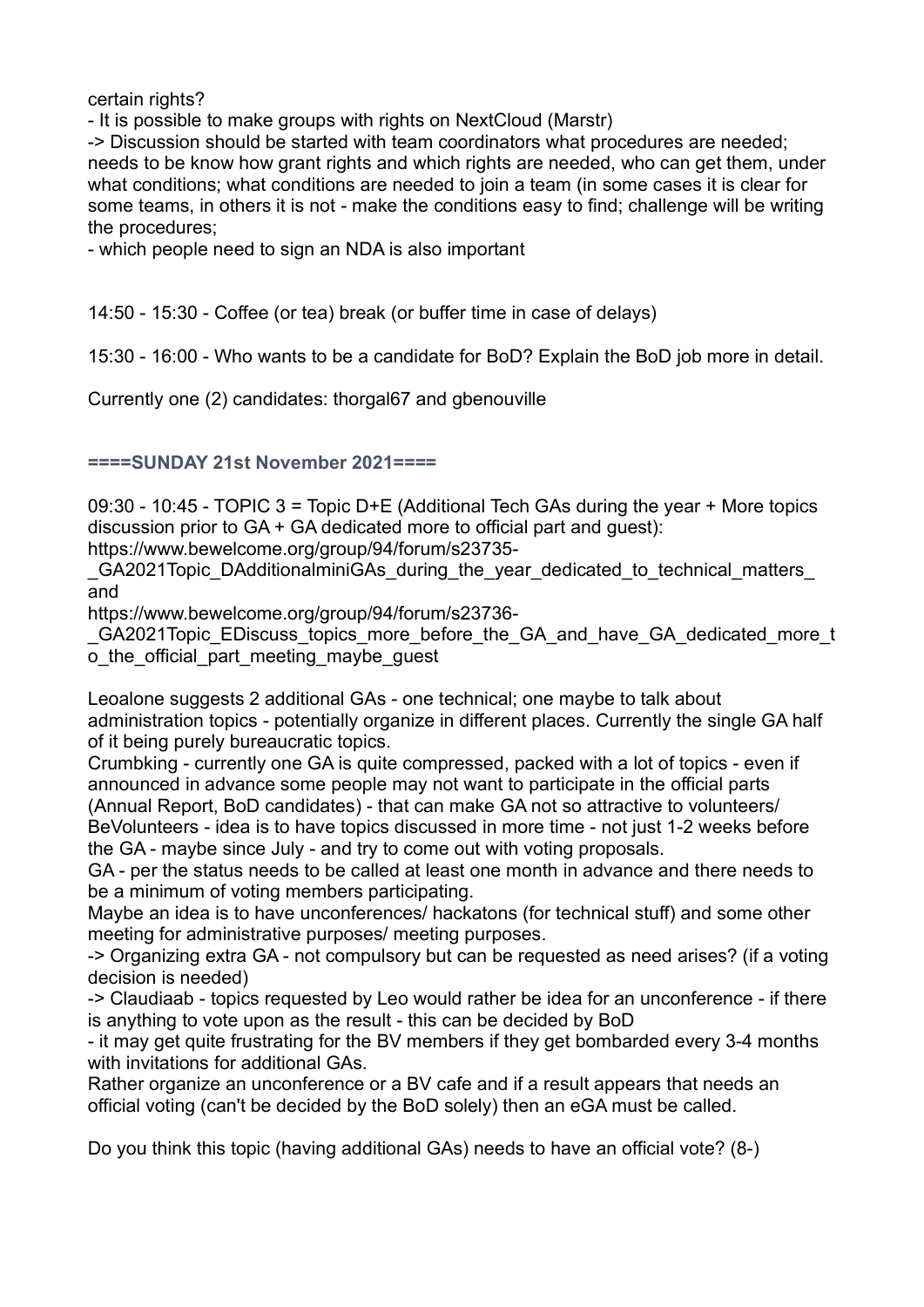certain rights?

- It is possible to make groups with rights on NextCloud (Marstr)

-> Discussion should be started with team coordinators what procedures are needed; needs to be know how grant rights and which rights are needed, who can get them, under what conditions; what conditions are needed to join a team (in some cases it is clear for some teams, in others it is not - make the conditions easy to find; challenge will be writing the procedures;

- which people need to sign an NDA is also important

14:50 - 15:30 - Coffee (or tea) break (or buffer time in case of delays)

15:30 - 16:00 - Who wants to be a candidate for BoD? Explain the BoD job more in detail.

Currently one (2) candidates: thorgal67 and gbenouville

## ====SUNDAY 21st November 2021====

09:30 - 10:45 - TOPIC 3 = Topic D+E (Additional Tech GAs during the year + More topics discussion prior to GA + GA dedicated more to official part and guest):

https://www.bewelcome.org/group/94/forum/s23735-

GA2021Topic\_DAdditionalminiGAs\_during\_the\_year\_dedicated\_to\_technical\_matters and

https://www.bewelcome.org/group/94/forum/s23736-

GA2021Topic\_EDiscuss\_topics\_more\_before\_the\_GA\_and\_have\_GA\_dedicated\_more\_t o the official part meeting maybe quest

Leoalone suggests 2 additional GAs - one technical; one maybe to talk about administration topics - potentially organize in different places. Currently the single GA half of it being purely bureaucratic topics.

Crumbking - currently one GA is quite compressed, packed with a lot of topics - even if announced in advance some people may not want to participate in the official parts (Annual Report, BoD candidates) - that can make GA not so attractive to volunteers/ BeVolunteers - idea is to have topics discussed in more time - not just 1-2 weeks before the GA - maybe since July - and try to come out with voting proposals.

GA - per the status needs to be called at least one month in advance and there needs to be a minimum of voting members participating.

Maybe an idea is to have unconferences/ hackatons (for technical stuff) and some other meeting for administrative purposes/ meeting purposes.

-> Organizing extra GA - not compulsory but can be requested as need arises? (if a voting decision is needed)

-> Claudiaab - topics requested by Leo would rather be idea for an unconference - if there is anything to vote upon as the result - this can be decided by BoD

- it may get quite frustrating for the BV members if they get bombarded every 3-4 months with invitations for additional GAs.

Rather organize an unconference or a BV cafe and if a result appears that needs an official voting (can't be decided by the BoD solely) then an eGA must be called.

Do you think this topic (having additional GAs) needs to have an official vote? (8-)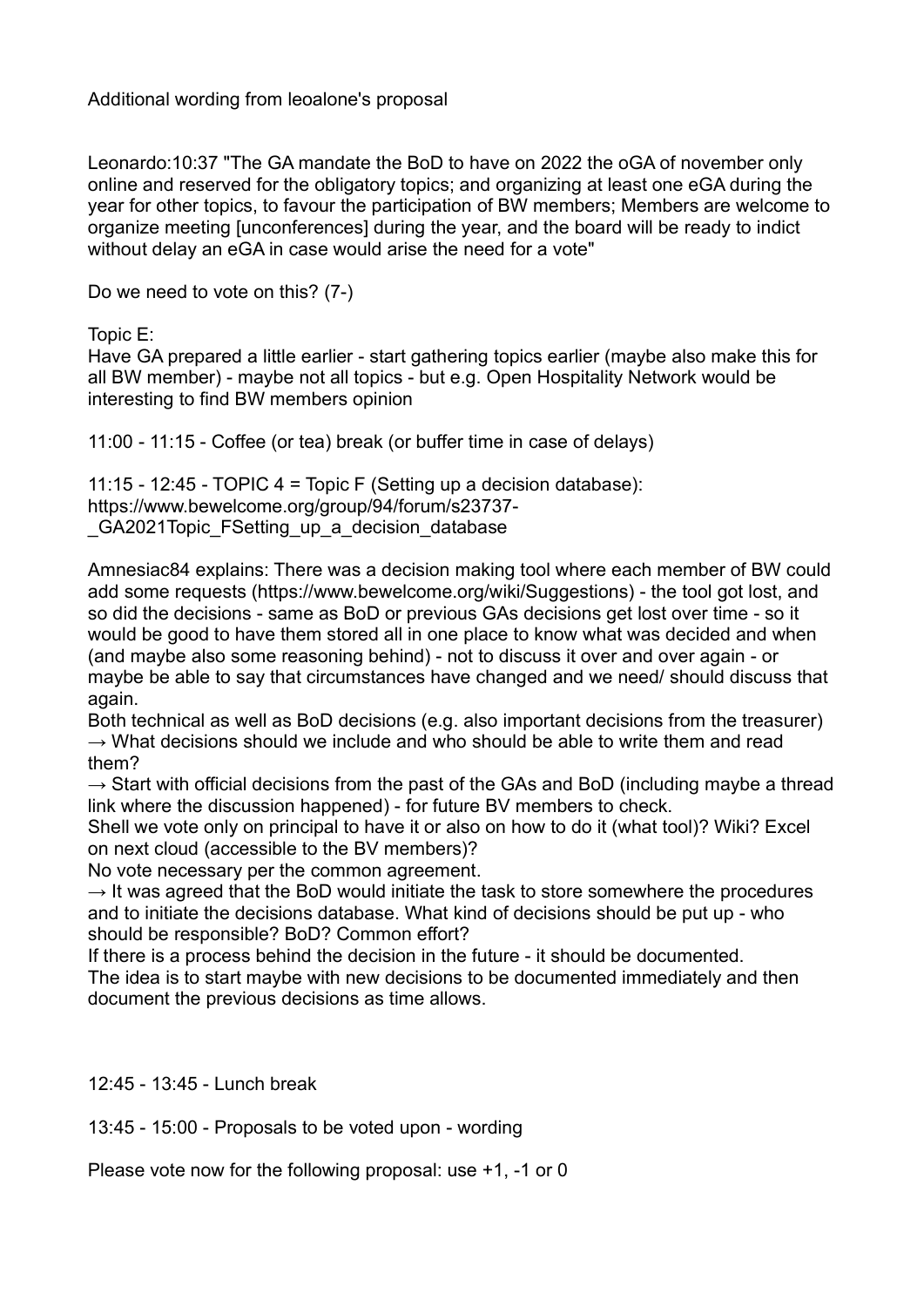Additional wording from leoalone's proposal

Leonardo:10:37 "The GA mandate the BoD to have on 2022 the oGA of november only online and reserved for the obligatory topics; and organizing at least one eGA during the year for other topics, to favour the participation of BW members; Members are welcome to organize meeting [unconferences] during the year, and the board will be ready to indict without delay an eGA in case would arise the need for a vote"

Do we need to vote on this? (7-)

Topic E:

Have GA prepared a little earlier - start gathering topics earlier (maybe also make this for all BW member) - maybe not all topics - but e.g. Open Hospitality Network would be interesting to find BW members opinion

11:00 - 11:15 - Coffee (or tea) break (or buffer time in case of delays)

11:15 - 12:45 - TOPIC 4 = Topic F (Setting up a decision database): https://www.bewelcome.org/group/94/forum/s23737- \_GA2021Topic\_FSetting\_up\_a\_decision\_database

Amnesiac84 explains: There was a decision making tool where each member of BW could add some requests (https://www.bewelcome.org/wiki/Suggestions) - the tool got lost, and so did the decisions - same as BoD or previous GAs decisions get lost over time - so it would be good to have them stored all in one place to know what was decided and when (and maybe also some reasoning behind) - not to discuss it over and over again - or maybe be able to say that circumstances have changed and we need/ should discuss that again.

Both technical as well as BoD decisions (e.g. also important decisions from the treasurer)  $\rightarrow$  What decisions should we include and who should be able to write them and read them?

 $\rightarrow$  Start with official decisions from the past of the GAs and BoD (including maybe a thread link where the discussion happened) - for future BV members to check.

Shell we vote only on principal to have it or also on how to do it (what tool)? Wiki? Excel on next cloud (accessible to the BV members)?

No vote necessary per the common agreement.

 $\rightarrow$  It was agreed that the BoD would initiate the task to store somewhere the procedures and to initiate the decisions database. What kind of decisions should be put up - who should be responsible? BoD? Common effort?

If there is a process behind the decision in the future - it should be documented. The idea is to start maybe with new decisions to be documented immediately and then document the previous decisions as time allows.

12:45 - 13:45 - Lunch break

13:45 - 15:00 - Proposals to be voted upon - wording

Please vote now for the following proposal: use +1, -1 or 0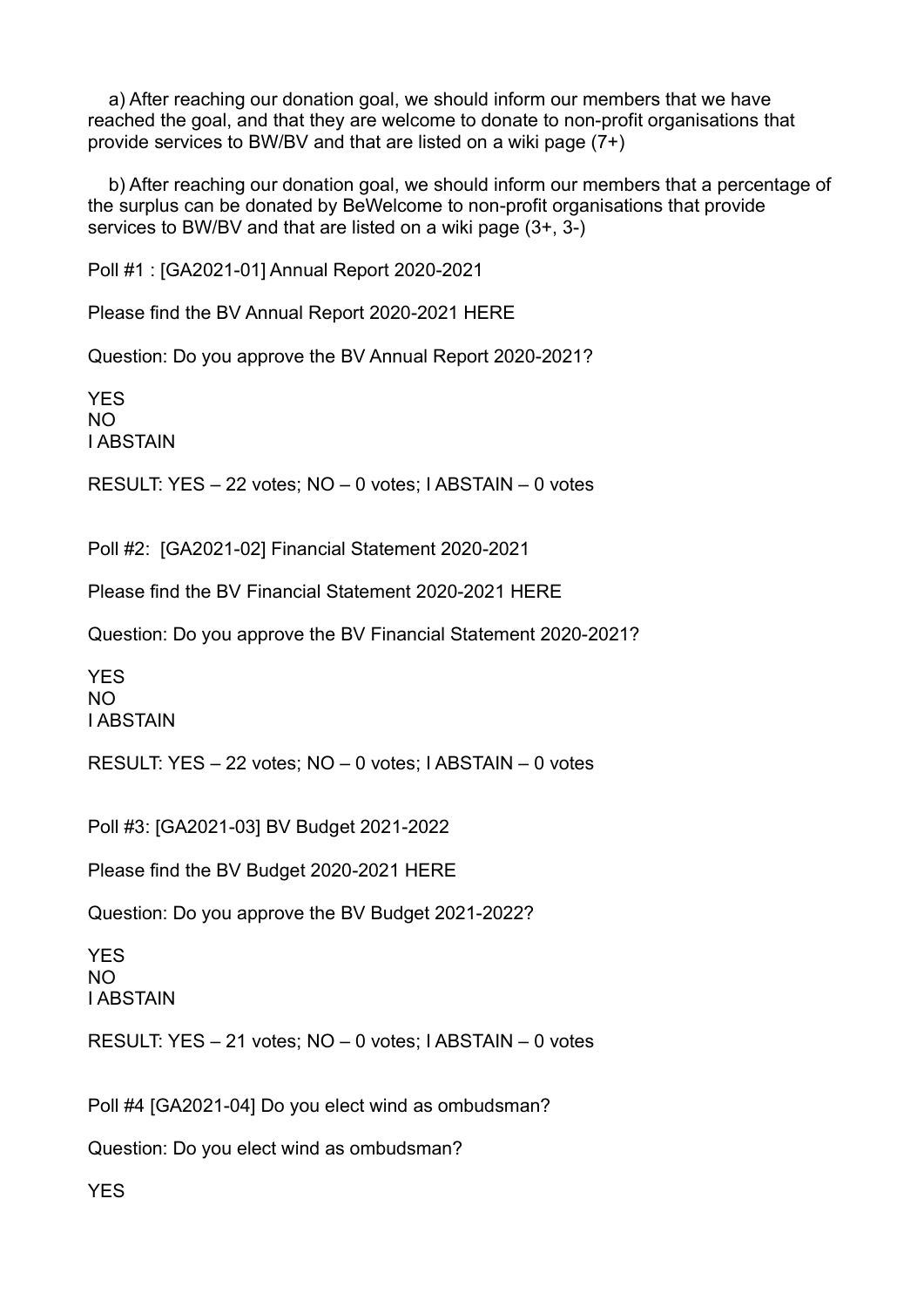a) After reaching our donation goal, we should inform our members that we have reached the goal, and that they are welcome to donate to non-profit organisations that provide services to BW/BV and that are listed on a wiki page (7+)

 b) After reaching our donation goal, we should inform our members that a percentage of the surplus can be donated by BeWelcome to non-profit organisations that provide services to BW/BV and that are listed on a wiki page (3+, 3-)

Poll #1 : [GA2021-01] Annual Report 2020-2021

Please find the BV Annual Report 2020-2021 HERE

Question: Do you approve the BV Annual Report 2020-2021?

**YES** NO I ABSTAIN

RESULT: YES – 22 votes; NO – 0 votes; I ABSTAIN – 0 votes

Poll #2: [GA2021-02] Financial Statement 2020-2021

Please find the BV Financial Statement 2020-2021 HERE

Question: Do you approve the BV Financial Statement 2020-2021?

YES  $N<sub>O</sub>$ I ABSTAIN

RESULT: YES – 22 votes; NO – 0 votes; I ABSTAIN – 0 votes

Poll #3: [GA2021-03] BV Budget 2021-2022

Please find the BV Budget 2020-2021 HERE

Question: Do you approve the BV Budget 2021-2022?

YES NO I ABSTAIN

RESULT: YES – 21 votes; NO – 0 votes; I ABSTAIN – 0 votes

Poll #4 [GA2021-04] Do you elect wind as ombudsman?

Question: Do you elect wind as ombudsman?

**YFS**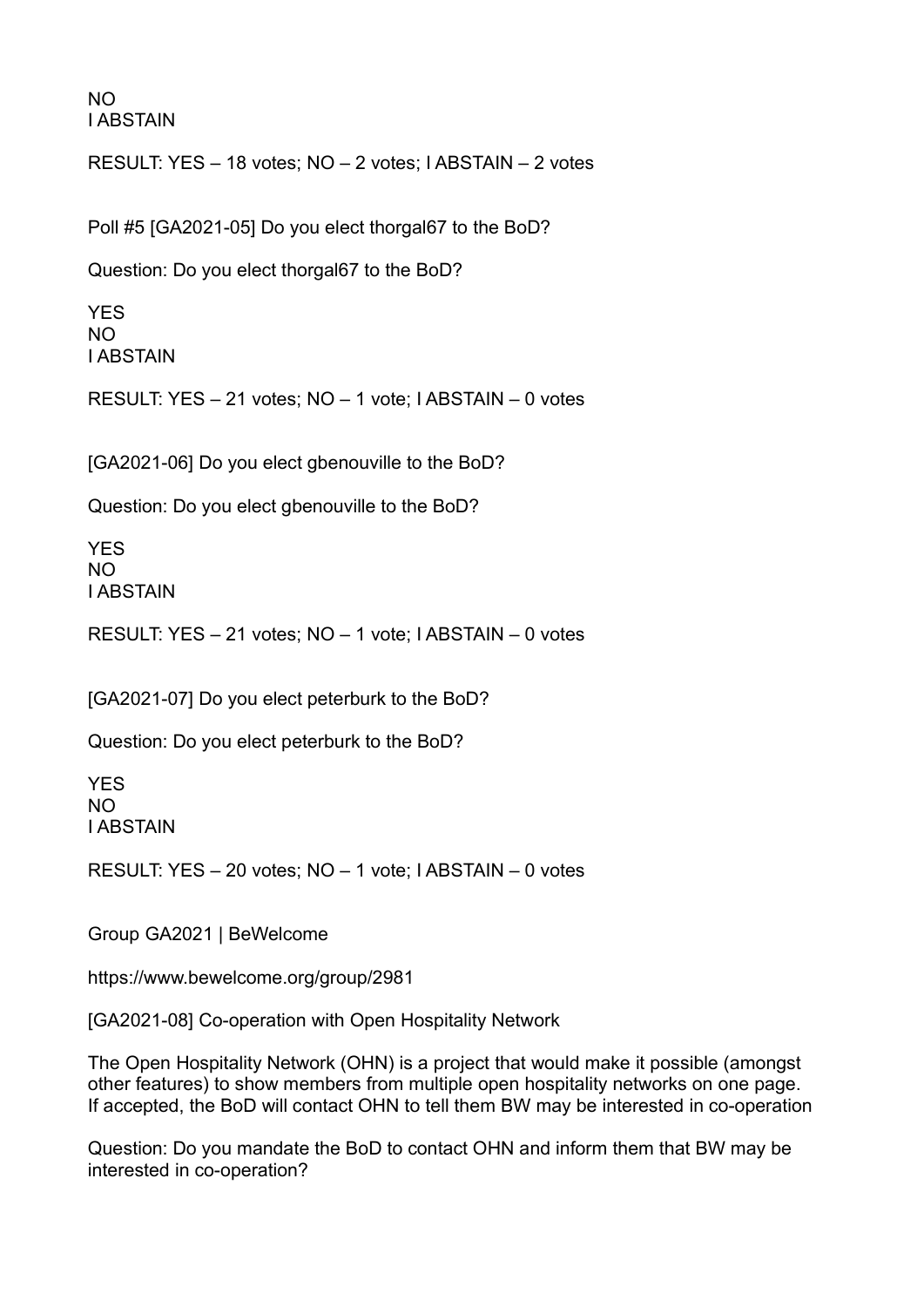NO I ABSTAIN

RESULT: YES – 18 votes; NO – 2 votes; I ABSTAIN – 2 votes

Poll #5 [GA2021-05] Do you elect thorgal67 to the BoD?

Question: Do you elect thorgal67 to the BoD?

YES NO I ABSTAIN

RESULT: YES – 21 votes; NO – 1 vote; I ABSTAIN – 0 votes

[GA2021-06] Do you elect gbenouville to the BoD?

Question: Do you elect gbenouville to the BoD?

YES NO I ABSTAIN

RESULT: YES – 21 votes; NO – 1 vote; I ABSTAIN – 0 votes

[GA2021-07] Do you elect peterburk to the BoD?

Question: Do you elect peterburk to the BoD?

YES NO I ABSTAIN

RESULT: YES – 20 votes; NO – 1 vote; I ABSTAIN – 0 votes

Group GA2021 | BeWelcome

https://www.bewelcome.org/group/2981

[GA2021-08] Co-operation with Open Hospitality Network

The Open Hospitality Network (OHN) is a project that would make it possible (amongst other features) to show members from multiple open hospitality networks on one page. If accepted, the BoD will contact OHN to tell them BW may be interested in co-operation

Question: Do you mandate the BoD to contact OHN and inform them that BW may be interested in co-operation?